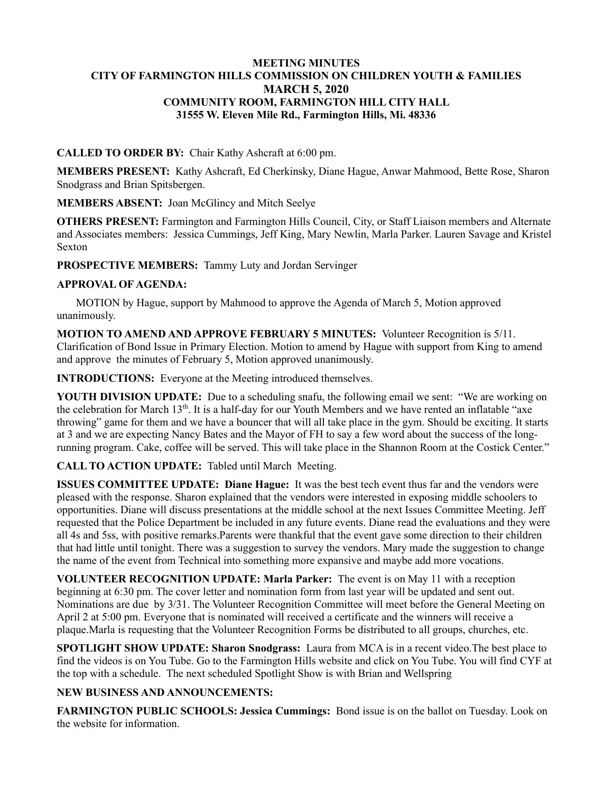#### **MEETING MINUTES CITY OF FARMINGTON HILLS COMMISSION ON CHILDREN YOUTH & FAMILIES MARCH 5, 2020 COMMUNITY ROOM, FARMINGTON HILL CITY HALL 31555 W. Eleven Mile Rd., Farmington Hills, Mi. 48336**

### **CALLED TO ORDER BY:** Chair Kathy Ashcraft at 6:00 pm.

**MEMBERS PRESENT:** Kathy Ashcraft, Ed Cherkinsky, Diane Hague, Anwar Mahmood, Bette Rose, Sharon Snodgrass and Brian Spitsbergen.

**MEMBERS ABSENT:** Joan McGlincy and Mitch Seelye

**OTHERS PRESENT:** Farmington and Farmington Hills Council, City, or Staff Liaison members and Alternate and Associates members: Jessica Cummings, Jeff King, Mary Newlin, Marla Parker. Lauren Savage and Kristel Sexton

**PROSPECTIVE MEMBERS:** Tammy Luty and Jordan Servinger

### **APPROVAL OF AGENDA:**

 MOTION by Hague, support by Mahmood to approve the Agenda of March 5, Motion approved unanimously.

**MOTION TO AMEND AND APPROVE FEBRUARY 5 MINUTES:** Volunteer Recognition is 5/11. Clarification of Bond Issue in Primary Election. Motion to amend by Hague with support from King to amend and approve the minutes of February 5, Motion approved unanimously.

**INTRODUCTIONS:** Everyone at the Meeting introduced themselves.

**YOUTH DIVISION UPDATE:** Due to a scheduling snafu, the following email we sent: "We are working on the celebration for March 13<sup>th</sup>. It is a half-day for our Youth Members and we have rented an inflatable "axe throwing" game for them and we have a bouncer that will all take place in the gym. Should be exciting. It starts at 3 and we are expecting Nancy Bates and the Mayor of FH to say a few word about the success of the longrunning program. Cake, coffee will be served. This will take place in the Shannon Room at the Costick Center."

# **CALL TO ACTION UPDATE:** Tabled until March Meeting.

**ISSUES COMMITTEE UPDATE: Diane Hague:** It was the best tech event thus far and the vendors were pleased with the response. Sharon explained that the vendors were interested in exposing middle schoolers to opportunities. Diane will discuss presentations at the middle school at the next Issues Committee Meeting. Jeff requested that the Police Department be included in any future events. Diane read the evaluations and they were all 4s and 5ss, with positive remarks.Parents were thankful that the event gave some direction to their children that had little until tonight. There was a suggestion to survey the vendors. Mary made the suggestion to change the name of the event from Technical into something more expansive and maybe add more vocations.

**VOLUNTEER RECOGNITION UPDATE: Marla Parker:** The event is on May 11 with a reception beginning at 6:30 pm. The cover letter and nomination form from last year will be updated and sent out. Nominations are due by 3/31. The Volunteer Recognition Committee will meet before the General Meeting on April 2 at 5:00 pm. Everyone that is nominated will received a certificate and the winners will receive a plaque.Marla is requesting that the Volunteer Recognition Forms be distributed to all groups, churches, etc.

**SPOTLIGHT SHOW UPDATE: Sharon Snodgrass:** Laura from MCA is in a recent video.The best place to find the videos is on You Tube. Go to the Farmington Hills website and click on You Tube. You will find CYF at the top with a schedule. The next scheduled Spotlight Show is with Brian and Wellspring

# **NEW BUSINESS AND ANNOUNCEMENTS:**

**FARMINGTON PUBLIC SCHOOLS: Jessica Cummings:** Bond issue is on the ballot on Tuesday. Look on the website for information.